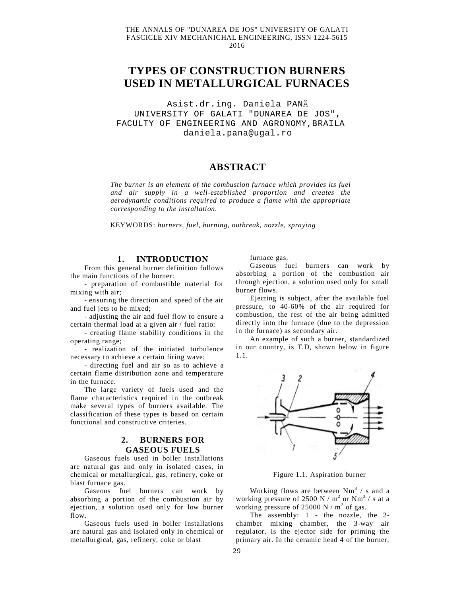## THE ANNALS OF "DUNAREA DE JOS" UNIVERSITY OF GALATI FASCICLE XIV MECHANICHAL ENGINEERING, ISSN 1224-5615 2016

# **TYPES OF CONSTRUCTION BURNERS USED IN METALLURGICAL FURNACES**

Asist.dr.ing. Daniela PANĂ UNIVERSITY OF GALATI "DUNAREA DE JOS", FACULTY OF ENGINEERING AND AGRONOMY,BRAILA [daniela.pana@ugal.ro](mailto:daniela.pana@ugal.ro)

# **ABSTRACT**

*The burner is an element of the combustion furnace which provides its fuel and air supply in a well-established proportion and creates the aerodynamic conditions required to produce a flame with the appropriate corresponding to the installation.*

KEYWORDS: *burners, fuel, burning, outbreak, nozzle, spraying*

### **1. INTRODUCTION**

From this general burner definition follows the main functions of the burner:

- preparation of combustible material for mixing with air;

- ensuring the direction and speed of the air and fuel jets to be mixed;

- adjusting the air and fuel flow to ensure a certain thermal load at a given air / fuel ratio:

- creating flame stability conditions in the operating range;

- realization of the initiated turbulence necessary to achieve a certain firing wave;

- directing fuel and air so as to achieve a certain flame distribution zone and temperature in the furnace.

The large variety of fuels used and the flame characteristics required in the outbreak make several types of burners available. The classification of these types is based on certain functional and constructive criteries.

## **2. BURNERS FOR GASEOUS FUELS**

Gaseous fuels used in boiler installations are natural gas and only in isolated cases, in chemical or metallurgical, gas, refinery, coke or blast furnace gas.

Gaseous fuel burners can work by absorbing a portion of the combustion air by ejection, a solution used only for low burner flow.

Gaseous fuels used in boiler installations are natural gas and isolated only in chemical or metallurgical, gas, refinery, coke or blast

furnace gas.

Gaseous fuel burners can work by absorbing a portion of the combustion air through ejection, a solution used only for small burner flows.

Ejecting is subject, after the available fuel pressure, to 40-60% of the air required for combustion, the rest of the air being admitted directly into the furnace (due to the depression in the furnace) as secondary air.

An example of such a burner, standardized in our country, is T.D, shown below in figure 1.1.



Figure 1.1. Aspiration burner

Working flows are between  $Nm^3$  / s and a working pressure of 2500 N /  $m^2$  or N $m^3$  / s at a working pressure of  $25000 \text{ N} / \text{m}^2$  of gas.

The assembly: 1 - the nozzle, the 2chamber mixing chamber, the 3-way air regulator, is the ejector side for priming the primary air. In the ceramic head 4 of the burner,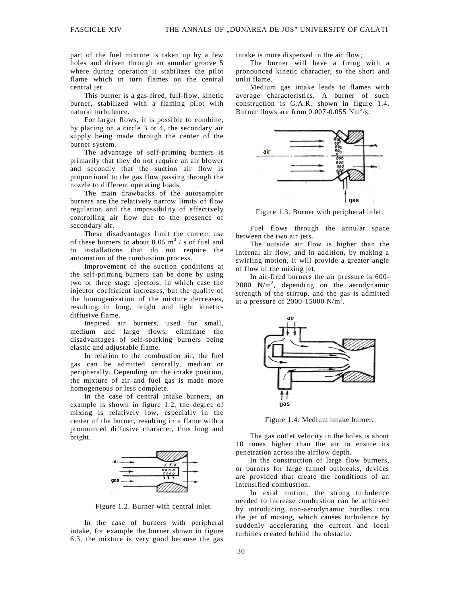part of the fuel mixture is taken up by a few holes and driven through an annular groove 5 where during operation it stabilizes the pilot flame which in turn flames on the central central jet.

This burner is a gas-fired, full-flow, kinetic burner, stabilized with a flaming pilot with natural turbulence.

For larger flows, it is possible to combine, by placing on a circle 3 or 4, the secondary air supply being made through the center of the burner system.

The advantage of self-priming burners is primarily that they do not require an air blower and secondly that the suction air flow is proportional to the gas flow passing through the nozzle to different operating loads.

The main drawbacks of the autosampler burners are the relatively narrow limits of flow regulation and the impossibility of effectively controlling air flow due to the presence of secondary air.

These disadvantages limit the current use of these burners to about 0.05  $\text{m}^3$  / s of fuel and to installations that do not require the automation of the combustion process.

Improvement of the suction conditions at the self-priming burners can be done by using two or three stage ejectors, in which case the injector coefficient increases, but the quality of the homogenization of the mixture decreases, resulting in long, bright and light kineticdiffusive flame.

Inspired air burners, used for small, medium and large flows, eliminate the disadvantages of self-sparking burners being elastic and adjustable flame.

In relation to the combustion air, the fuel gas can be admitted centrally, median or peripherally. Depending on the intake position, the mixture of air and fuel gas is made more homogeneous or less complete.

In the case of central intake burners, an example is shown in figure 1.2, the degree of mixing is relatively low, especially in the center of the burner, resulting in a flame with a pronounced diffusive character, thus long and bright.



Figure 1.2. Burner with central inlet.

In the case of burners with peripheral intake, for example the burner shown in figure 6.3, the mixture is very good because the gas intake is more dispersed in the air flow;

The burner will have a firing with a pronounced kinetic character, so the short and unlit flame.

Medium gas intake leads to flames with average characteristics. A burner of such construction is G.A.R. shown in figure 1.4. Burner flows are from  $0.007 - 0.055$  Nm<sup>3</sup>/s.



Figure 1.3. Burner with peripheral inlet.

Fuel flows through the annular space between the two air jets.

The outside air flow is higher than the internal air flow, and in addition, by making a swirling motion, it will provide a greater angle of flow of the mixing jet.

In air-fired burners the air pressure is 600- 2000 N/m<sup>2</sup>, depending on the aerodynamic strength of the stirrup, and the gas is admitted at a pressure of 2000-15000  $N/m^2$ .



Figure 1.4. Medium intake burner.

The gas outlet velocity in the holes is about 10 times higher than the air to ensure its penetration across the airflow depth.

In the construction of large flow burners, or burners for large tunnel outbreaks, devices are provided that create the conditions of an intensified combustion.

In axial motion, the strong turbulence needed to increase combustion can be achieved by introducing non-aerodynamic hurdles into the jet of mixing, which causes turbulence by suddenly accelerating the current and local turbines created behind the obstacle.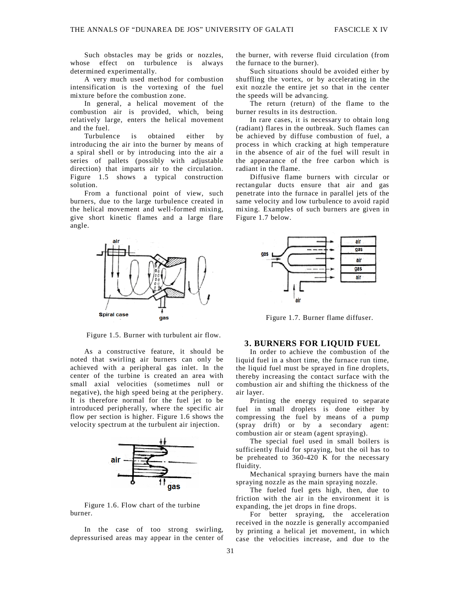Such obstacles may be grids or nozzles, whose effect on turbulence is always determined experimentally.

A very much used method for combustion intensification is the vortexing of the fuel mixture before the combustion zone.

In general, a helical movement of the combustion air is provided, which, being relatively large, enters the helical movement and the fuel.

Turbulence is obtained either by introducing the air into the burner by means of a spiral shell or by introducing into the air a series of pallets (possibly with adjustable direction) that imparts air to the circulation. Figure 1.5 shows a typical construction solution.

From a functional point of view, such burners, due to the large turbulence created in the helical movement and well-formed mixing, give short kinetic flames and a large flare angle.



Figure 1.5. Burner with turbulent air flow.

As a constructive feature, it should be noted that swirling air burners can only be achieved with a peripheral gas inlet. In the center of the turbine is created an area with small axial velocities (sometimes null or negative), the high speed being at the periphery. It is therefore normal for the fuel jet to be introduced peripherally, where the specific air flow per section is higher. Figure 1.6 shows the velocity spectrum at the turbulent air injection.



Figure 1.6. Flow chart of the turbine burner.

In the case of too strong swirling, depressurised areas may appear in the center of the burner, with reverse fluid circulation (from the furnace to the burner).

Such situations should be avoided either by shuffling the vortex, or by accelerating in the exit nozzle the entire jet so that in the center the speeds will be advancing.

The return (return) of the flame to the burner results in its destruction.

In rare cases, it is necessary to obtain long (radiant) flares in the outbreak. Such flames can be achieved by diffuse combustion of fuel, a process in which cracking at high temperature in the absence of air of the fuel will result in the appearance of the free carbon which is radiant in the flame.

Diffusive flame burners with circular or rectangular ducts ensure that air and gas penetrate into the furnace in parallel jets of the same velocity and low turbulence to avoid rapid mixing. Examples of such burners are given in Figure 1.7 below.



Figure 1.7. Burner flame diffuser.

## **3. BURNERS FOR LIQUID FUEL**

In order to achieve the combustion of the liquid fuel in a short time, the furnace run time, the liquid fuel must be sprayed in fine droplets, thereby increasing the contact surface with the combustion air and shifting the thickness of the air layer.

Printing the energy required to separate fuel in small droplets is done either by compressing the fuel by means of a pump (spray drift) or by a secondary agent: combustion air or steam (agent spraying).

The special fuel used in small boilers is sufficiently fluid for spraying, but the oil has to be preheated to 360-420 K for the necessary fluidity.

Mechanical spraying burners have the main spraying nozzle as the main spraying nozzle.

The fueled fuel gets high, then, due to friction with the air in the environment it is expanding, the jet drops in fine drops.

For better spraying, the acceleration received in the nozzle is generally accompanied by printing a helical jet movement, in which case the velocities increase, and due to the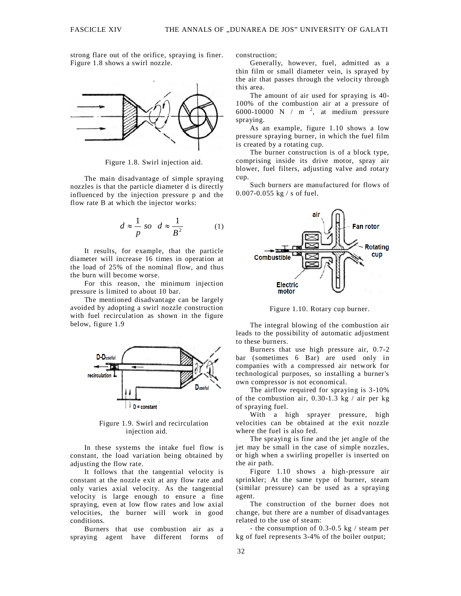strong flare out of the orifice, spraying is finer. Figure 1.8 shows a swirl nozzle.



Figure 1.8. Swirl injection aid.

The main disadvantage of simple spraying nozzles is that the particle diameter d is directly influenced by the injection pressure p and the flow rate B at which the injector works:

$$
d \approx \frac{1}{p} \text{ so } d \approx \frac{1}{B^2} \tag{1}
$$

It results, for example, that the particle diameter will increase 16 times in operation at the load of 25% of the nominal flow, and thus the burn will become worse.

For this reason, the minimum injection pressure is limited to about 10 bar.

The mentioned disadvantage can be largely avoided by adopting a swirl nozzle construction with fuel recirculation as shown in the figure below, figure 1.9



Figure 1.9. Swirl and recirculation injection aid.

In these systems the intake fuel flow is constant, the load variation being obtained by adjusting the flow rate.

It follows that the tangential velocity is constant at the nozzle exit at any flow rate and only varies axial velocity. As the tangential velocity is large enough to ensure a fine spraying, even at low flow rates and low axial velocities, the burner will work in good conditions.

Burners that use combustion air as a spraying agent have different forms of construction;

Generally, however, fuel, admitted as a thin film or small diameter vein, is sprayed by the air that passes through the velocity through this area.

The amount of air used for spraying is 40- 100% of the combustion air at a pressure of 6000-10000 N  $/$  m  $^{2}$ , at medium pressure spraying.

As an example, figure 1.10 shows a low pressure spraying burner, in which the fuel film is created by a rotating cup.

The burner construction is of a block type, comprising inside its drive motor, spray air blower, fuel filters, adjusting valve and rotary cup.

Such burners are manufactured for flows of 0.007-0.055 kg / s of fuel.



Figure 1.10. Rotary cup burner.

The integral blowing of the combustion air leads to the possibility of automatic adjustment to these burners.

Burners that use high pressure air, 0.7-2 bar (sometimes 6 Bar) are used only in companies with a compressed air network for technological purposes, so installing a burner's own compressor is not economical.

The airflow required for spraying is 3-10% of the combustion air,  $0.30$ -1.3 kg / air per kg of spraying fuel.

With a high sprayer pressure, high velocities can be obtained at the exit nozzle where the fuel is also fed.

The spraying is fine and the jet angle of the jet may be small in the case of simple nozzles, or high when a swirling propeller is inserted on the air path.

Figure 1.10 shows a high-pressure air sprinkler; At the same type of burner, steam (similar pressure) can be used as a spraying agent.

The construction of the burner does not change, but there are a number of disadvantages related to the use of steam:

- the consumption of 0.3-0.5 kg / steam per kg of fuel represents 3-4% of the boiler output;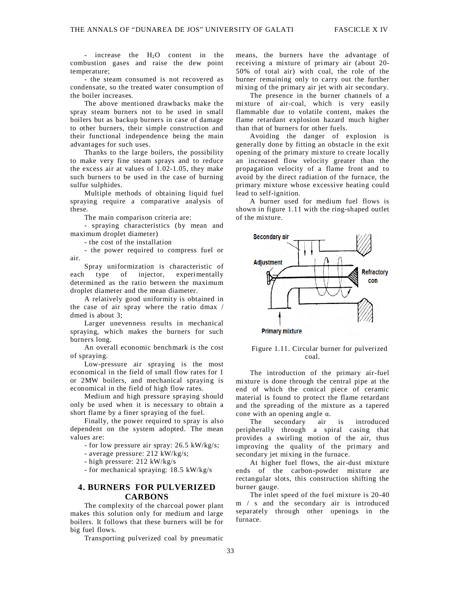- increase the  $H_2O$  content in the combustion gases and raise the dew point temperature;

- the steam consumed is not recovered as condensate, so the treated water consumption of the boiler increases.

The above mentioned drawbacks make the spray steam burners not to be used in small boilers but as backup burners in case of damage to other burners, their simple construction and their functional independence being the main advantages for such uses.

Thanks to the large boilers, the possibility to make very fine steam sprays and to reduce the excess air at values of 1.02-1.05, they make such burners to be used in the case of burning sulfur sulphides.

Multiple methods of obtaining liquid fuel spraying require a comparative analysis of these.

The main comparison criteria are:

- spraying characteristics (by mean and maximum droplet diameter)

- the cost of the installation

- the power required to compress fuel or air.

Spray uniformization is characteristic of each type of injector, experimentally determined as the ratio between the maximum droplet diameter and the mean diameter.

A relatively good uniformity is obtained in the case of air spray where the ratio dmax / dmed is about 3;

Larger unevenness results in mechanical spraying, which makes the burners for such burners long.

An overall economic benchmark is the cost of spraying.

Low-pressure air spraying is the most economical in the field of small flow rates for 1 or 2MW boilers, and mechanical spraying is economical in the field of high flow rates.

Medium and high pressure spraying should only be used when it is necessary to obtain a short flame by a finer spraying of the fuel.

Finally, the power required to spray is also dependent on the system adopted. The mean values are:

- for low pressure air spray: 26.5 kW/kg/s;

- average pressure: 212 kW/kg/s;

- high pressure: 212 kW/kg/s

- for mechanical spraying: 18.5 kW/kg/s

## **4. BURNERS\_FOR PULVERIZED CARBONS**

The complexity of the charcoal power plant makes this solution only for medium and large boilers. It follows that these burners will be for big fuel flows.

Transporting pulverized coal by pneumatic

means, the burners have the advantage of receiving a mixture of primary air (about 20- 50% of total air) with coal, the role of the burner remaining only to carry out the further mixing of the primary air jet with air secondary.

The presence in the burner channels of a mixture of air-coal, which is very easily flammable due to volatile content, makes the flame retardant explosion hazard much higher than that of burners for other fuels.

Avoiding the danger of explosion is generally done by fitting an obstacle in the exit opening of the primary mixture to create locally an increased flow velocity greater than the propagation velocity of a flame front and to avoid by the direct radiation of the furnace, the primary mixture whose excessive heating could lead to self-ignition.

A burner used for medium fuel flows is shown in figure 1.11 with the ring-shaped outlet of the mixture.



Figure 1.11. Circular burner for pulverized coal.

The introduction of the primary air-fuel mixture is done through the central pipe at the end of which the conical piece of ceramic material is found to protect the flame retardant and the spreading of the mixture as a tapered cone with an opening angle  $\alpha$ .<br>The secondary air is

secondary air is introduced peripherally through a spiral casing that provides a swirling motion of the air, thus improving the quality of the primary and secondary jet mixing in the furnace.

At higher fuel flows, the air-dust mixture ends of the carbon-powder mixture are rectangular slots, this construction shifting the burner gauge.

The inlet speed of the fuel mixture is 20-40 m / s and the secondary air is introduced separately through other openings in the furnace.